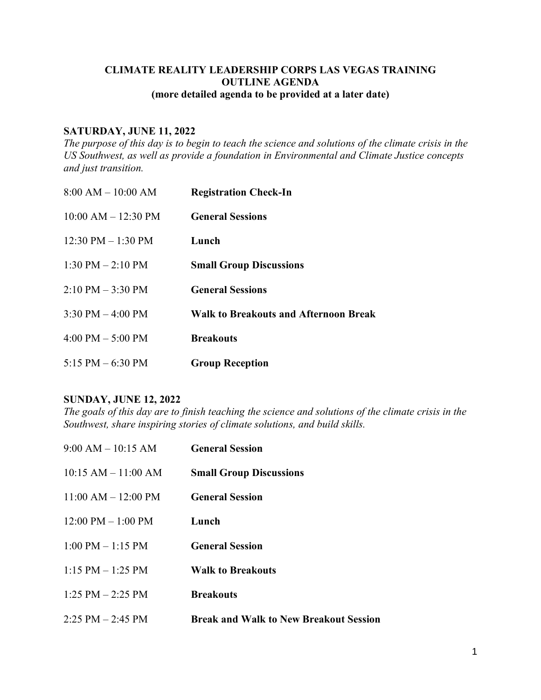## **CLIMATE REALITY LEADERSHIP CORPS LAS VEGAS TRAINING OUTLINE AGENDA (more detailed agenda to be provided at a later date)**

## **SATURDAY, JUNE 11, 2022**

The purpose of this day is to begin to teach the science and solutions of the climate crisis in the *US Southwest, as well as provide a foundation in Environmental and Climate Justice concepts and just transition.*

| $8:00 AM - 10:00 AM$                 | <b>Registration Check-In</b>                 |
|--------------------------------------|----------------------------------------------|
| $10:00$ AM $- 12:30$ PM              | <b>General Sessions</b>                      |
| $12:30 \text{ PM} - 1:30 \text{ PM}$ | Lunch                                        |
| $1:30 \text{ PM} - 2:10 \text{ PM}$  | <b>Small Group Discussions</b>               |
| $2:10$ PM $-3:30$ PM                 | <b>General Sessions</b>                      |
| 3:30 PM $-$ 4:00 PM                  | <b>Walk to Breakouts and Afternoon Break</b> |
| 4:00 PM $-$ 5:00 PM                  | <b>Breakouts</b>                             |
| 5:15 PM $-$ 6:30 PM                  | <b>Group Reception</b>                       |

## **SUNDAY, JUNE 12, 2022**

The goals of this day are to finish teaching the science and solutions of the climate crisis in the *Southwest, share inspiring stories of climate solutions, and build skills.*

| $9:00 AM - 10:15 AM$                 | <b>General Session</b>                        |
|--------------------------------------|-----------------------------------------------|
| $10:15 AM - 11:00 AM$                | <b>Small Group Discussions</b>                |
| $11:00$ AM $- 12:00$ PM              | <b>General Session</b>                        |
| $12:00 \text{ PM} - 1:00 \text{ PM}$ | Lunch                                         |
| $1:00$ PM $-1:15$ PM                 | <b>General Session</b>                        |
| $1:15$ PM $- 1:25$ PM                | <b>Walk to Breakouts</b>                      |
| $1:25$ PM $-2:25$ PM                 | <b>Breakouts</b>                              |
| $2:25$ PM $-2:45$ PM                 | <b>Break and Walk to New Breakout Session</b> |